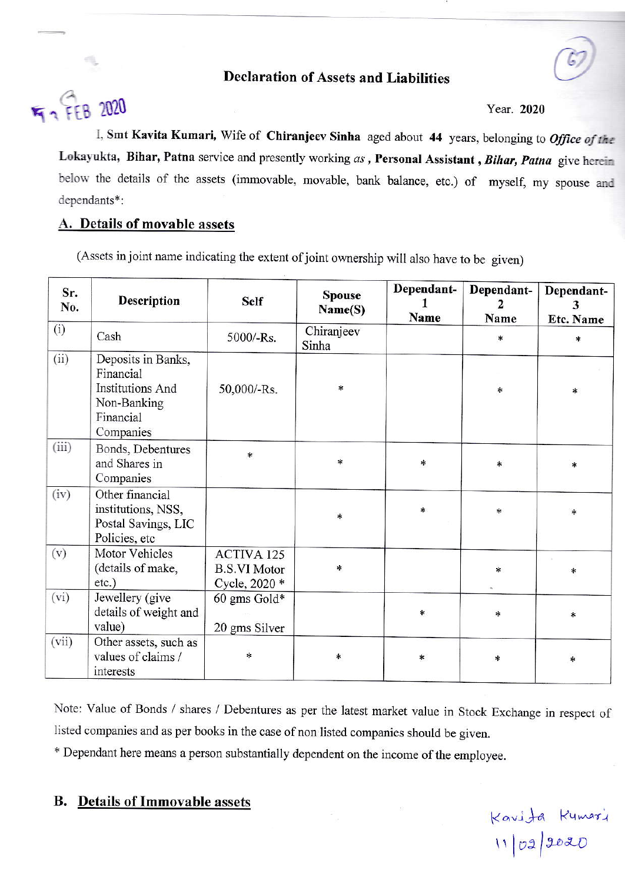## **Declaration of Assets and Liabilities**

# F - FEB 2020

Year. 2020

I, Smt Kavita Kumari, Wife of Chiranjeev Sinha aged about 44 years, belonging to Office of the Lokayukta, Bihar, Patna service and presently working as, Personal Assistant, Bihar, Patna give herein below the details of the assets (immovable, movable, bank balance, etc.) of myself, my spouse and dependants\*:

#### A. Details of movable assets

(Assets in joint name indicating the extent of joint ownership will also have to be given)

| Sr.<br>No. | <b>Description</b>                                                                                  | <b>Self</b>                                        | <b>Spouse</b><br>Name(S) | Dependant-<br>Name | Dependant-<br>$\mathbf{2}$<br>Name | Dependant-<br>Etc. Name |
|------------|-----------------------------------------------------------------------------------------------------|----------------------------------------------------|--------------------------|--------------------|------------------------------------|-------------------------|
| (i)        | Cash                                                                                                | 5000/-Rs.                                          | Chiranjeev<br>Sinha      |                    | *                                  | $\ast$                  |
| (ii)       | Deposits in Banks,<br>Financial<br><b>Institutions And</b><br>Non-Banking<br>Financial<br>Companies | 50,000/-Rs.                                        | $\ast$                   |                    | $\ast$                             | $\ast$                  |
| (iii)      | Bonds, Debentures<br>and Shares in<br>Companies                                                     | $\ast$                                             | $\ast$                   | $\ast$             | $\ast$                             | $\ast$                  |
| (iv)       | Other financial<br>institutions, NSS,<br>Postal Savings, LIC<br>Policies, etc                       |                                                    | $\ast$                   | $\ast$             | *                                  | *                       |
| (v)        | Motor Vehicles<br>(details of make,<br>$etc.$ )                                                     | ACTIVA 125<br><b>B.S.VI Motor</b><br>Cycle, 2020 * | $\ast$                   |                    | $\ast$                             | $\ast$                  |
| (vi)       | Jewellery (give<br>details of weight and<br>value)                                                  | 60 gms Gold*<br>20 gms Silver                      |                          | ×                  | $\ast$                             | $\ast$                  |
| (vii)      | Other assets, such as<br>values of claims /<br>interests                                            | $\ast$                                             | *                        | $\ast$             | $\ast$                             | $\ast$                  |

Note: Value of Bonds / shares / Debentures as per the latest market value in Stock Exchange in respect of listed companies and as per books in the case of non listed companies should be given.

\* Dependant here means a person substantially dependent on the income of the employee.

### **B.** Details of Immovable assets

Kavita Kumari<br>11/02/2020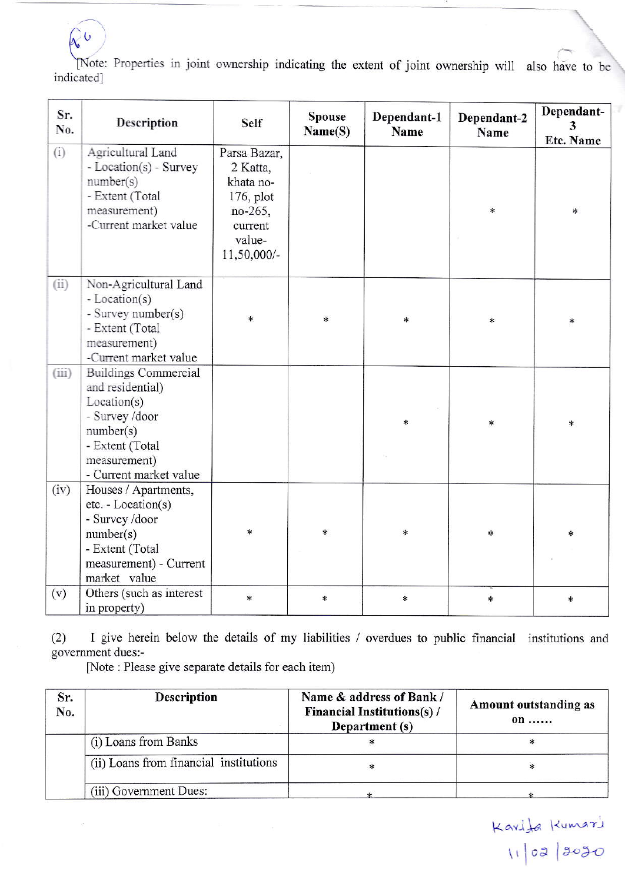[Note: Properties in joint ownership indicating the extent of joint ownership will also have to be indicated]

| Sr.<br>No. | Description                                                                                                                                                | <b>Self</b>                                                                                          | <b>Spouse</b><br>Name(S) | Dependant-1<br>Name | Dependant-2<br>Name | Dependant-<br>3<br>Etc. Name |
|------------|------------------------------------------------------------------------------------------------------------------------------------------------------------|------------------------------------------------------------------------------------------------------|--------------------------|---------------------|---------------------|------------------------------|
| (i)        | Agricultural Land<br>- Location(s) - Survey<br>number(s)<br>- Extent (Total<br>measurement)<br>-Current market value                                       | Parsa Bazar,<br>2 Katta,<br>khata no-<br>$176$ , plot<br>no-265,<br>current<br>value-<br>11,50,000/- |                          |                     | $\ast$              | $*$                          |
| (ii)       | Non-Agricultural Land<br>- Location(s)<br>- Survey number(s)<br>- Extent (Total<br>measurement)<br>-Current market value                                   | $\ast$                                                                                               | $\ast$                   | $\ast$              | $\ast$              | *                            |
| (iii)      | <b>Buildings Commercial</b><br>and residential)<br>Location(s)<br>- Survey /door<br>number(s)<br>- Extent (Total<br>measurement)<br>- Current market value |                                                                                                      |                          | *                   | $\ast$              | $\ast$                       |
| (iv)       | Houses / Apartments,<br>etc. - Location(s)<br>- Survey /door<br>number(s)<br>- Extent (Total<br>measurement) - Current<br>market value                     | $\ast$                                                                                               | *                        | $\ast$              | $\ast$              | $\ast$                       |
| (v)        | Others (such as interest<br>in property)                                                                                                                   | $\ast$                                                                                               | $\ast$                   | $\ast$              | $\star$             | *                            |

I give herein below the details of my liabilities / overdues to public financial institutions and  $(2)$ government dues:-

[Note: Please give separate details for each item)

 $\mathcal{C}^{\mathbf{C}}$ 

| Sr.<br>No. | <b>Description</b>                     | Name & address of Bank /<br><b>Financial Institutions(s)/</b><br>Department (s) | Amount outstanding as<br>on |  |
|------------|----------------------------------------|---------------------------------------------------------------------------------|-----------------------------|--|
|            | (i) Loans from Banks                   |                                                                                 |                             |  |
|            | (ii) Loans from financial institutions |                                                                                 | ∗                           |  |
|            | (iii) Government Dues:                 |                                                                                 |                             |  |

Kavifa Kumazi<br>11/02/2020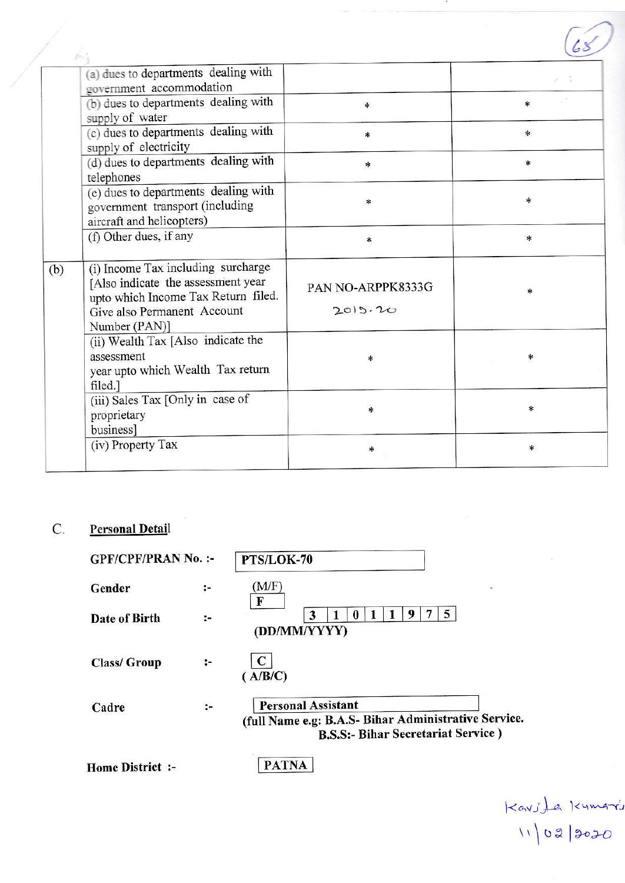|     | (a) dues to departments dealing with<br>government accommodation                                                                                                |                              |              |
|-----|-----------------------------------------------------------------------------------------------------------------------------------------------------------------|------------------------------|--------------|
|     | (b) dues to departments dealing with<br>supply of water                                                                                                         | $\ast$                       | $\ast$       |
|     | (c) dues to departments dealing with<br>supply of electricity                                                                                                   | $\ast$                       | $\ast$       |
|     | (d) dues to departments dealing with<br>telephones                                                                                                              | $\ast$                       | $\ast$       |
|     | (e) dues to departments dealing with<br>government transport (including<br>aircraft and helicopters)                                                            | $\ast$                       | *            |
|     | (f) Other dues, if any                                                                                                                                          | $\ast$                       | $\ast$       |
| (b) | (i) Income Tax including surcharge<br>[Also indicate the assessment year<br>upto which Income Tax Return filed.<br>Give also Permanent Account<br>Number (PAN)] | PAN NO-ARPPK8333G<br>2015.20 | $\mathbf{x}$ |
|     | (ii) Wealth Tax [Also indicate the<br>assessment<br>year upto which Wealth Tax return<br>filed.]                                                                | *                            | *            |
|     | (iii) Sales Tax [Only in case of<br>proprietary<br>business]                                                                                                    | *                            | $\ast$       |
|     | (iv) Property Tax                                                                                                                                               | *                            | *            |

#### $\mathsf{C}.$ **Personal Detail**

| <b>GPF/CPF/PRAN No.:-</b> |        | PTS/LOK-70                                                                                                                      |  |  |
|---------------------------|--------|---------------------------------------------------------------------------------------------------------------------------------|--|--|
| Gender                    | $:-$   | (M/F)<br>$\mathfrak{m}$<br>F                                                                                                    |  |  |
| Date of Birth             | $:-$   | 5<br>9<br>3<br>(DD/MM/YYYY)                                                                                                     |  |  |
| <b>Class/Group</b>        | $\sim$ | $\mathbf C$<br>( A/B/C)                                                                                                         |  |  |
| Cadre                     | ፦      | <b>Personal Assistant</b><br>(full Name e.g: B.A.S- Bihar Administrative Service.<br><b>B.S.S:- Bihar Secretariat Service</b> ) |  |  |
| <b>Home District :-</b>   |        | <b>PATNA</b>                                                                                                                    |  |  |

 $K$ avite Kumari<br>11/02/2020